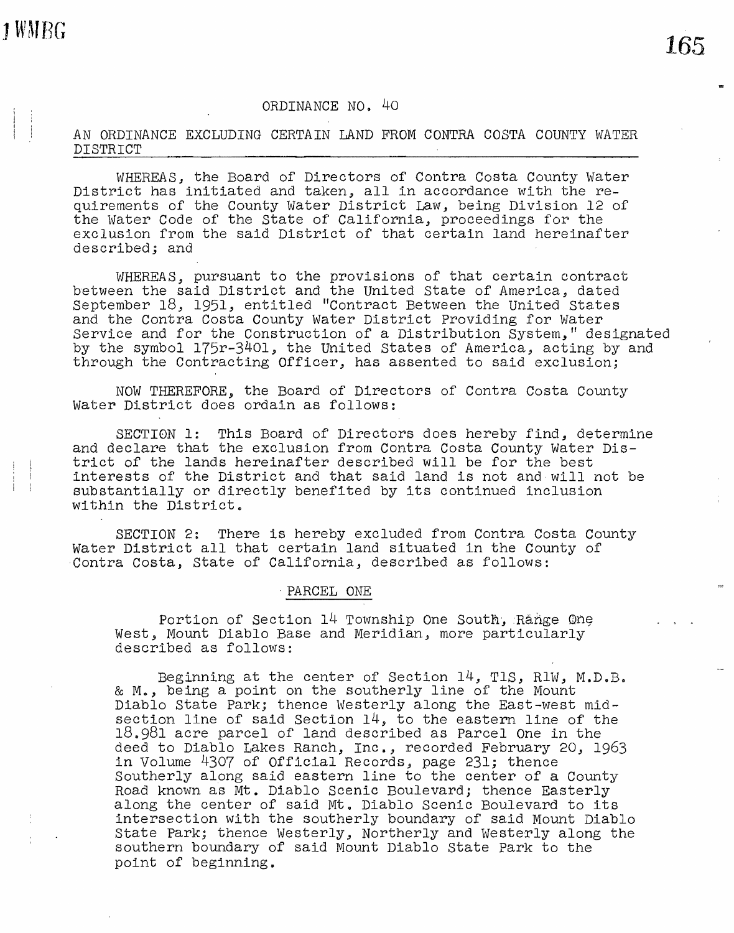## ORDINANCE NO. 40

AN ORDINANCE EXCLUDING CERTAIN LAND FROM CONTRA COSTA COUNTY WATER DISTRICT

WHEREAS, the Board of Directors of Contra Costa County Water District has initiated and taken, all in accordance with the requirements of the County Water District Law, being Division 12 of the Water Code of the State of California, proceedings for the exclusion from the said District of that certain land hereinafter described; and

WHEREAS, pursuant to the provisions of that certain contract between the said District and the United State of America, dated September 18., 1951., entitled "Contract Between the United States and the Contra Costa County Water District Providing for water Service and for the Construction of a Distribution System," designated by the symbol 175r-3401, the United States of America, acting by and through the Contracting Officer., has assented to said exclusion;

NOW THEREFORE, the Board of Directors of Contra Costa County Water District does ordain as follows:

SECTION 1: This Board of Directors does hereby find, determine and declare that the exclusion from Contra Costa County Water District of the lands hereinafter described will be for the best interests of the District and that said land is not and will not be substantially or directly benefited by its continued inclusion within the District.

SECTION 2: There is hereby excluded from Contra Costa County water District all that certain land situated in the County of Contra Costa., state of California, described as follows:

## · PARCEL ONE

Portion of Section  $14$  Township One South, Range One West, Mount Diablo Base and Meridian, more particularly described as follows:

Beginning at the center of Section  $14$ , TlS, RlW, M.D.B. & M., being a point on the southerly line of the Mount Diablo State Park; thence Westerly along the East-west midsection line of said Section  $14$ , to the eastern line of the 18.981 acre parcel of land described as Parcel One in the deed to Diablo Lakes Ranch, Inc., recorded February 20, 1963 in Volume 4307 of Official Records, page 231; thence Southerly along said eastern line to the center of a County Road known as Mt. Diablo Scenic Boulevard; thence Easterly along the center of said Mt. Diablo Scenic Boulevard to its intersection with the southerly boundary of said Mount Diablo State Park; thence Westerly, Northerly and Westerly along the southern boundary of said Mount Diablo State Park to the point of beginning.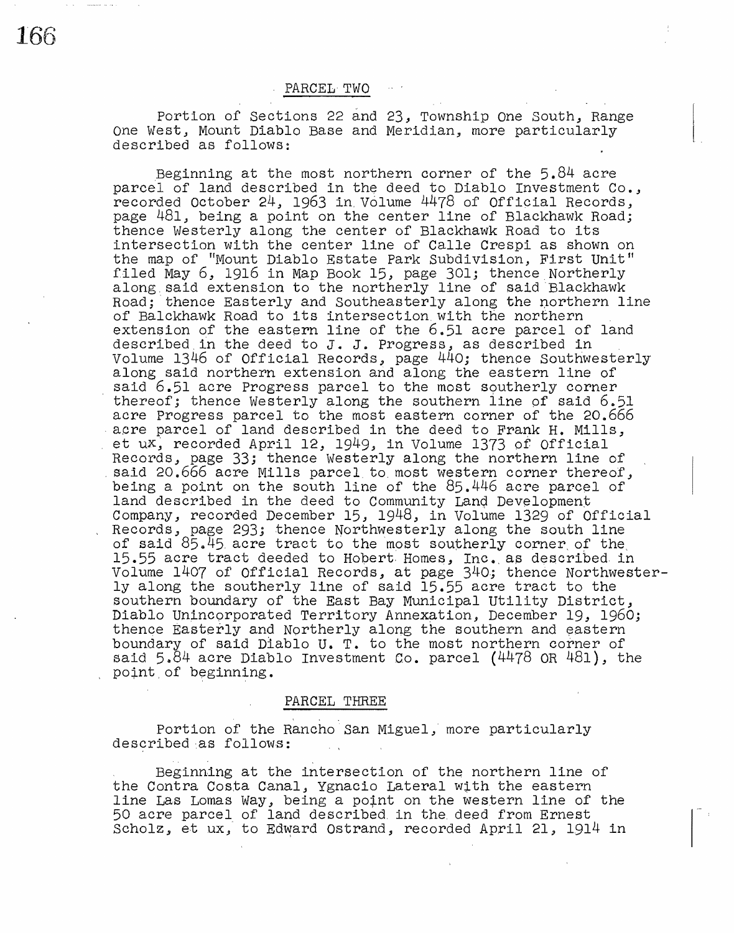PARCEL- TWO

Portion of Sections 22 and 23, Township One South, Range One West., Mount Diablo Base and Meridian, more particularly described as follows:

Beginning at the most northern corner of the 5.84 acre parcel of land described in the deed to Diablo Investment Co., recorded October 24, 1963 in. Volume 4478 of Official Records, page 481, being a point on the center line of Blackhawk Road; thence Westerly along the center of Blackhawk Road to its intersection with the center line of Calle Crespi as shown on Inscribes from which the senser line of Salie Sieph as shown on the map of "Mount Diablo Estate Park Subdivision, First Unit" filed May 6., 1916 in Map Book 15., page 301; thence.Northerly along.said extension to the northerly line of said ·Blackhawk along said extension to the northerly line of said Blackhawk<br>Road; thence Easterly and Southeasterly along the northern line of Balckhawk Road to its intersection.with the northern extension of the eastern line of the  $6.51$  acre parcel of land described in the deed to  $J$ . J. Progress, as described in Volume 1346 of Official Records, page 440; thence Southwesterly along said northern extension and along the eastern line of said 6.51 acre Progress parcel to the most southerly corner thereof; thence Westerly along the southern line of said 6.51 acre Progress parcel to the most eastern corner of the 20.666 acre parcel of land described in the deed to Frank H. Mills, et ux, recorded April 12, 1949, in Volume 1373 of Official<br>Records, page 33; thence Westerly along the northern line of said 20.666 acre Mills parcel to most western corner thereof, being a point on the south line of the 85.446 acre parcel of land described in the deed to Community Land Development<br>Company, recorded December 15, 1948, in Volume 1329 of Official Records, page 293; thence Northwesterly along the south line of said  $85.45$  acre tract to the most southerly corner of the 15.55 acre tract deeded to Hobert Homes, Inc. as described in Volume 1407 of Official Records, at page 340.; thence Northwesterly along the southerly line of said 15.55 acre tract to the southern boundary of the East Bay Municipal Utility District, Diablo Unincorporated Territory Annexation, December 19, 1960; thence Easterly and Northerly along the southern and eastern boundary of said Diablo U. T. to the most northern corner of said  $5.84$  acre Diablo Investment Co. parcel ( $4478$  OR  $481$ ), the point of beginning.

## PARCEL THREE

Portion of the Rancho San Miguel, more particularly described as follows:

Beginning at the intersection of the northern line of the Contra Costa Canal, Ygnacio Lateral with the eastern line Las Lomas Way, being a point on the western line of the 50 acre parcel of land described. in the. deed from Ernest Scholz, et ux, to Edward Ostrand, recorded April 21, 1914 in

166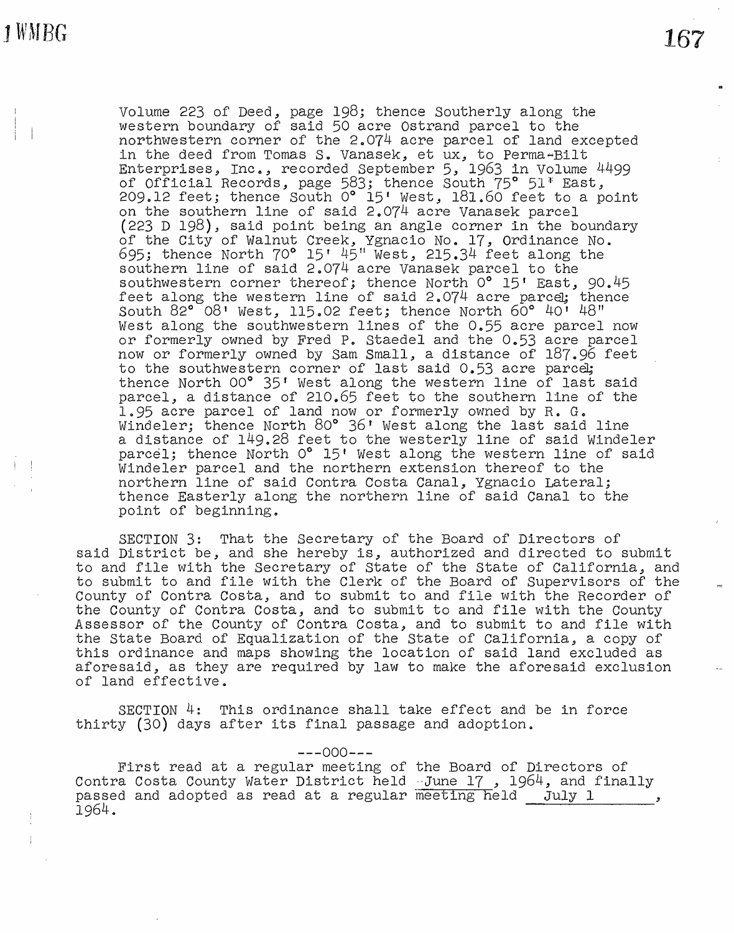1 WMRG

Volume 223 of Deed, page 198; thence Southerly along the western boundary of said 50 acre Ostrand parcel to the northwestern corner of the  $2.074$  acre parcel of land excepted in the deed from Tomas **So** vanasek., et ux, to Perma~Bilt Enterprises, Inc., recorded September 5, 1963 in Volume 4499 of Official Records, page 583; thence South 75° 51<sup>\*</sup> East, 209.12 feet; thence South 0° 15' West, 181.60 feet to a point on the southern line of said 2.074 acre Vanasek parcel (223 D 198), said point being an angle corner in the boundary of the City of Walnut Creek, Ygnacio No. 17, Ordinance No.  $695$ ; thence North  $70^{\circ}$  15'  $45^{\circ}$  West, 215.34 feet along the southern line of said 2.074 acre Vanasek parcel to the southwestern corner thereof; thence North 0° 15' East, 90.45 feet along the western line of said 2.074 acre parcel; thence south 82° 08' West, 115.02 feet; thence North 60° 40' 48" West along the southwestern lines of the  $0.55$  acre parcel now or formerly owned by Fred P. Staedel and the 0.53 acre parcel now or formerly owned by Sam Small, a distance of 187.96 feet to the southwestern corner of last said 0.53 acre parcel; thence North 00° 35' West along the western line of last said parcel., a distance of 210.65 feet to the southern line of the 1.95 acre parcel of land now or formerly owned by R. G. Windeler; thence North 80° 36' West along the last said line a distance of 149.28 feet to the westerly line of said Windeler parcel; thence North 0° 15' West along the western line of said Windeler parcel and the northern extension thereof to the northern line of said Contra Costa Canal, Ygnacio Lateral; thence Easterly along the northern line of said Canal to the point of beginning.

SECTION 3: That the Secretary of the Board of Directors of said District be, and she hereby is, authorized and directed to submit to and file with the Secretary of State of the State of California, and to submit to and file with the Clerk of the Board of Supervisors of the County of Contra Costa, and to submit to and file with the Recorder of the County of Contra Costa, and to submit to and file with the County Assessor of the County of Contra Costa, and to submit to and file with the State Board of Equalization of the State of California, a copy of this ordinance and maps showing the location of said land excluded as aforesaid, as they are required by law to make the aforesaid exclusion of land effective.

SECTION 4: This ordinance shall take effect and be in force thirty  $(30)$  days after its final passage and adoption.

 $---000---$ 

First read at a regular meeting of the Board of Directors of Contra Costa County Water District held June 17, 1964, and finally passed and adopted as read at a regular  $\frac{3}{\text{meeting}}$  held  $\frac{1}{\text{July}}$  1, 1964 ..